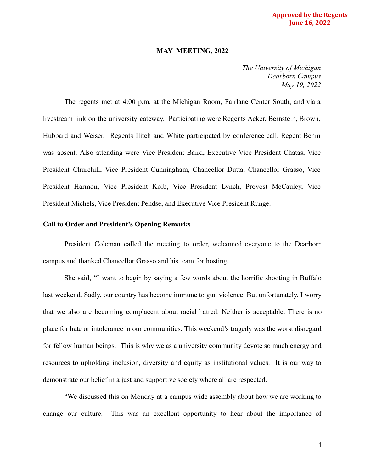### **Approved by the Regents June 16, 2022**

#### **MAY MEETING, 2022**

*The University of Michigan Dearborn Campus May 19, 2022*

The regents met at 4:00 p.m. at the Michigan Room, Fairlane Center South, and via a livestream link on the university gateway. Participating were Regents Acker, Bernstein, Brown, Hubbard and Weiser. Regents Ilitch and White participated by conference call. Regent Behm was absent. Also attending were Vice President Baird, Executive Vice President Chatas, Vice President Churchill, Vice President Cunningham, Chancellor Dutta, Chancellor Grasso, Vice President Harmon, Vice President Kolb, Vice President Lynch, Provost McCauley, Vice President Michels, Vice President Pendse, and Executive Vice President Runge.

#### **Call to Order and President's Opening Remarks**

President Coleman called the meeting to order, welcomed everyone to the Dearborn campus and thanked Chancellor Grasso and his team for hosting.

She said, "I want to begin by saying a few words about the horrific shooting in Buffalo last weekend. Sadly, our country has become immune to gun violence. But unfortunately, I worry that we also are becoming complacent about racial hatred. Neither is acceptable. There is no place for hate or intolerance in our communities. This weekend's tragedy was the worst disregard for fellow human beings. This is why we as a university community devote so much energy and resources to upholding inclusion, diversity and equity as institutional values. It is our way to demonstrate our belief in a just and supportive society where all are respected.

"We discussed this on Monday at a campus wide assembly about how we are working to change our culture. This was an excellent opportunity to hear about the importance of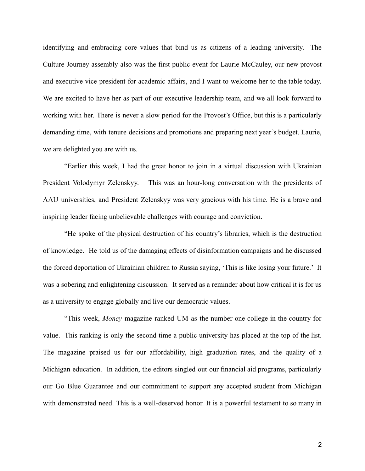identifying and embracing core values that bind us as citizens of a leading university. The Culture Journey assembly also was the first public event for Laurie McCauley, our new provost and executive vice president for academic affairs, and I want to welcome her to the table today. We are excited to have her as part of our executive leadership team, and we all look forward to working with her. There is never a slow period for the Provost's Office, but this is a particularly demanding time, with tenure decisions and promotions and preparing next year's budget. Laurie, we are delighted you are with us.

"Earlier this week, I had the great honor to join in a virtual discussion with Ukrainian President Volodymyr Zelenskyy. This was an hour-long conversation with the presidents of AAU universities, and President Zelenskyy was very gracious with his time. He is a brave and inspiring leader facing unbelievable challenges with courage and conviction.

"He spoke of the physical destruction of his country's libraries, which is the destruction of knowledge. He told us of the damaging effects of disinformation campaigns and he discussed the forced deportation of Ukrainian children to Russia saying, 'This is like losing your future.' It was a sobering and enlightening discussion. It served as a reminder about how critical it is for us as a university to engage globally and live our democratic values.

"This week, *Money* magazine ranked UM as the number one college in the country for value. This ranking is only the second time a public university has placed at the top of the list. The magazine praised us for our affordability, high graduation rates, and the quality of a Michigan education. In addition, the editors singled out our financial aid programs, particularly our Go Blue Guarantee and our commitment to support any accepted student from Michigan with demonstrated need. This is a well-deserved honor. It is a powerful testament to so many in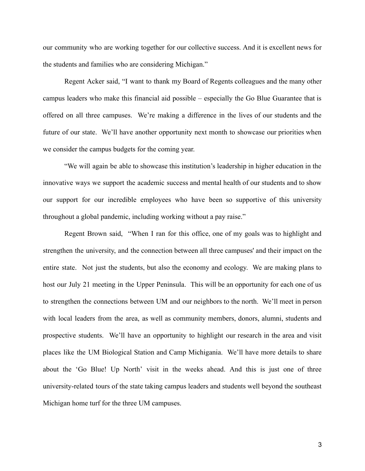our community who are working together for our collective success. And it is excellent news for the students and families who are considering Michigan."

Regent Acker said, "I want to thank my Board of Regents colleagues and the many other campus leaders who make this financial aid possible – especially the Go Blue Guarantee that is offered on all three campuses. We're making a difference in the lives of our students and the future of our state. We'll have another opportunity next month to showcase our priorities when we consider the campus budgets for the coming year.

"We will again be able to showcase this institution's leadership in higher education in the innovative ways we support the academic success and mental health of our students and to show our support for our incredible employees who have been so supportive of this university throughout a global pandemic, including working without a pay raise."

Regent Brown said, "When I ran for this office, one of my goals was to highlight and strengthen the university, and the connection between all three campuses' and their impact on the entire state. Not just the students, but also the economy and ecology. We are making plans to host our July 21 meeting in the Upper Peninsula. This will be an opportunity for each one of us to strengthen the connections between UM and our neighbors to the north. We'll meet in person with local leaders from the area, as well as community members, donors, alumni, students and prospective students. We'll have an opportunity to highlight our research in the area and visit places like the UM Biological Station and Camp Michigania. We'll have more details to share about the 'Go Blue! Up North' visit in the weeks ahead. And this is just one of three university-related tours of the state taking campus leaders and students well beyond the southeast Michigan home turf for the three UM campuses.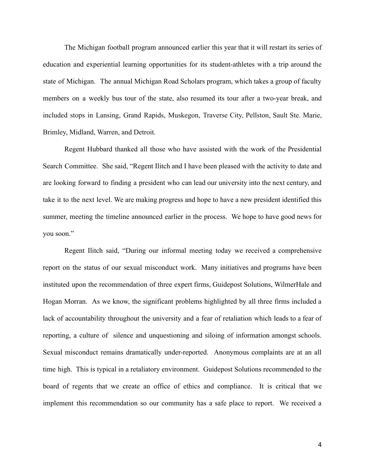The Michigan football program announced earlier this year that it will restart its series of education and experiential learning opportunities for its student-athletes with a trip around the state of Michigan. The annual Michigan Road Scholars program, which takes a group of faculty members on a weekly bus tour of the state, also resumed its tour after a two-year break, and included stops in Lansing, Grand Rapids, Muskegon, Traverse City, Pellston, Sault Ste. Marie, Brimley, Midland, Warren, and Detroit.

Regent Hubbard thanked all those who have assisted with the work of the Presidential Search Committee. She said, "Regent Ilitch and I have been pleased with the activity to date and are looking forward to finding a president who can lead our university into the next century, and take it to the next level. We are making progress and hope to have a new president identified this summer, meeting the timeline announced earlier in the process. We hope to have good news for you soon."

Regent Ilitch said, "During our informal meeting today we received a comprehensive report on the status of our sexual misconduct work. Many initiatives and programs have been instituted upon the recommendation of three expert firms, Guidepost Solutions, WilmerHale and Hogan Morran. As we know, the significant problems highlighted by all three firms included a lack of accountability throughout the university and a fear of retaliation which leads to a fear of reporting, a culture of silence and unquestioning and siloing of information amongst schools. Sexual misconduct remains dramatically under-reported. Anonymous complaints are at an all time high. This is typical in a retaliatory environment. Guidepost Solutions recommended to the board of regents that we create an office of ethics and compliance. It is critical that we implement this recommendation so our community has a safe place to report. We received a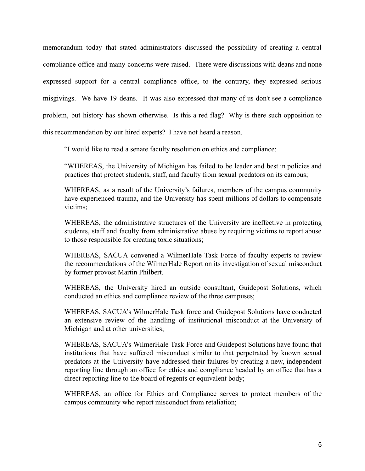memorandum today that stated administrators discussed the possibility of creating a central compliance office and many concerns were raised. There were discussions with deans and none expressed support for a central compliance office, to the contrary, they expressed serious misgivings. We have 19 deans. It was also expressed that many of us don't see a compliance problem, but history has shown otherwise. Is this a red flag? Why is there such opposition to this recommendation by our hired experts? I have not heard a reason.

"I would like to read a senate faculty resolution on ethics and compliance:

"WHEREAS, the University of Michigan has failed to be leader and best in policies and practices that protect students, staff, and faculty from sexual predators on its campus;

WHEREAS, as a result of the University's failures, members of the campus community have experienced trauma, and the University has spent millions of dollars to compensate victims;

WHEREAS, the administrative structures of the University are ineffective in protecting students, staff and faculty from administrative abuse by requiring victims to report abuse to those responsible for creating toxic situations;

WHEREAS, SACUA convened a WilmerHale Task Force of faculty experts to review the recommendations of the WilmerHale Report on its investigation of sexual misconduct by former provost Martin Philbert.

WHEREAS, the University hired an outside consultant, Guidepost Solutions, which conducted an ethics and compliance review of the three campuses;

WHEREAS, SACUA's WilmerHale Task force and Guidepost Solutions have conducted an extensive review of the handling of institutional misconduct at the University of Michigan and at other universities;

WHEREAS, SACUA's WilmerHale Task Force and Guidepost Solutions have found that institutions that have suffered misconduct similar to that perpetrated by known sexual predators at the University have addressed their failures by creating a new, independent reporting line through an office for ethics and compliance headed by an office that has a direct reporting line to the board of regents or equivalent body;

WHEREAS, an office for Ethics and Compliance serves to protect members of the campus community who report misconduct from retaliation;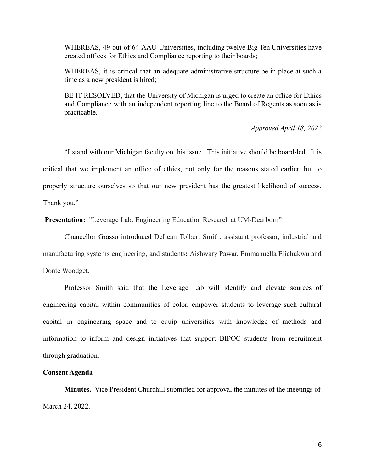WHEREAS, 49 out of 64 AAU Universities, including twelve Big Ten Universities have created offices for Ethics and Compliance reporting to their boards;

WHEREAS, it is critical that an adequate administrative structure be in place at such a time as a new president is hired;

BE IT RESOLVED, that the University of Michigan is urged to create an office for Ethics and Compliance with an independent reporting line to the Board of Regents as soon as is practicable.

### *Approved April 18, 2022*

"I stand with our Michigan faculty on this issue. This initiative should be board-led. It is critical that we implement an office of ethics, not only for the reasons stated earlier, but to properly structure ourselves so that our new president has the greatest likelihood of success. Thank you."

**Presentation:** "Leverage Lab: Engineering Education Research at UM-Dearborn"

Chancellor Grasso introduced DeLean Tolbert Smith, assistant professor, industrial and manufacturing systems engineering, and students**:** Aishwary Pawar, Emmanuella Ejichukwu and Donte Woodget.

Professor Smith said that the Leverage Lab will identify and elevate sources of engineering capital within communities of color, empower students to leverage such cultural capital in engineering space and to equip universities with knowledge of methods and information to inform and design initiatives that support BIPOC students from recruitment through graduation.

### **Consent Agenda**

**Minutes.** Vice President Churchill submitted for approval the minutes of the meetings of March 24, 2022.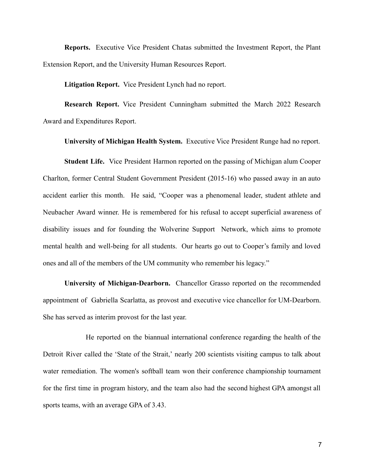**Reports.** Executive Vice President Chatas submitted the Investment Report, the Plant Extension Report, and the University Human Resources Report.

**Litigation Report.** Vice President Lynch had no report.

**Research Report.** Vice President Cunningham submitted the March 2022 Research Award and Expenditures Report.

**University of Michigan Health System.** Executive Vice President Runge had no report.

**Student Life.** Vice President Harmon reported on the passing of Michigan alum Cooper Charlton, former Central Student Government President (2015-16) who passed away in an auto accident earlier this month. He said, "Cooper was a phenomenal leader, student athlete and Neubacher Award winner. He is remembered for his refusal to accept superficial awareness of disability issues and for founding the Wolverine Support Network, which aims to promote mental health and well-being for all students. Our hearts go out to Cooper's family and loved ones and all of the members of the UM community who remember his legacy."

**University of Michigan-Dearborn.** Chancellor Grasso reported on the recommended appointment of Gabriella Scarlatta, as provost and executive vice chancellor for UM-Dearborn. She has served as interim provost for the last year.

He reported on the biannual international conference regarding the health of the Detroit River called the 'State of the Strait,' nearly 200 scientists visiting campus to talk about water remediation. The women's softball team won their conference championship tournament for the first time in program history, and the team also had the second highest GPA amongst all sports teams, with an average GPA of 3.43.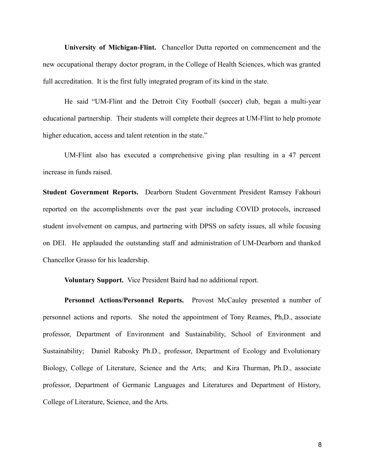**University of Michigan-Flint.** Chancellor Dutta reported on commencement and the new occupational therapy doctor program, in the College of Health Sciences, which was granted full accreditation. It is the first fully integrated program of its kind in the state.

He said "UM-Flint and the Detroit City Football (soccer) club, began a multi-year educational partnership. Their students will complete their degrees at UM-Flint to help promote higher education, access and talent retention in the state."

UM-Flint also has executed a comprehensive giving plan resulting in a 47 percent increase in funds raised.

**Student Government Reports.** Dearborn Student Government President Ramsey Fakhouri reported on the accomplishments over the past year including COVID protocols, increased student involvement on campus, and partnering with DPSS on safety issues, all while focusing on DEI. He applauded the outstanding staff and administration of UM-Dearborn and thanked Chancellor Grasso for his leadership.

**Voluntary Support.** Vice President Baird had no additional report.

**Personnel Actions/Personnel Reports.** Provost McCauley presented a number of personnel actions and reports. She noted the appointment of Tony Reames, Ph,D., associate professor, Department of Environment and Sustainability, School of Environment and Sustainability; Daniel Rabosky Ph.D., professor, Department of Ecology and Evolutionary Biology, College of Literature, Science and the Arts; and Kira Thurman, Ph.D., associate professor, Department of Germanic Languages and Literatures and Department of History, College of Literature, Science, and the Arts.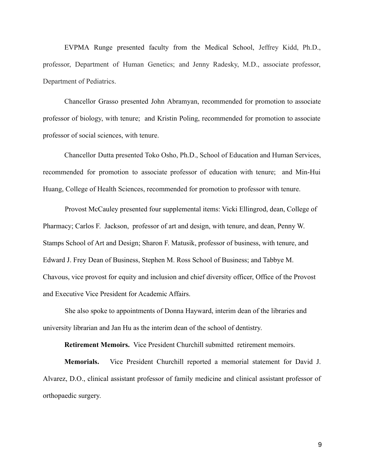EVPMA Runge presented faculty from the Medical School, Jeffrey Kidd, Ph.D., professor, Department of Human Genetics; and Jenny Radesky, M.D., associate professor, Department of Pediatrics.

Chancellor Grasso presented John Abramyan, recommended for promotion to associate professor of biology, with tenure; and Kristin Poling, recommended for promotion to associate professor of social sciences, with tenure.

Chancellor Dutta presented Toko Osho, Ph.D., School of Education and Human Services, recommended for promotion to associate professor of education with tenure; and Min-Hui Huang, College of Health Sciences, recommended for promotion to professor with tenure.

Provost McCauley presented four supplemental items: Vicki Ellingrod, dean, College of Pharmacy; Carlos F. Jackson, professor of art and design, with tenure, and dean, Penny W. Stamps School of Art and Design; Sharon F. Matusik, professor of business, with tenure, and Edward J. Frey Dean of Business, Stephen M. Ross School of Business; and Tabbye M. Chavous, vice provost for equity and inclusion and chief diversity officer, Office of the Provost and Executive Vice President for Academic Affairs.

She also spoke to appointments of Donna Hayward, interim dean of the libraries and university librarian and Jan Hu as the interim dean of the school of dentistry.

**Retirement Memoirs.** Vice President Churchill submitted retirement memoirs.

**Memorials.** Vice President Churchill reported a memorial statement for David J. Alvarez, D.O., clinical assistant professor of family medicine and clinical assistant professor of orthopaedic surgery.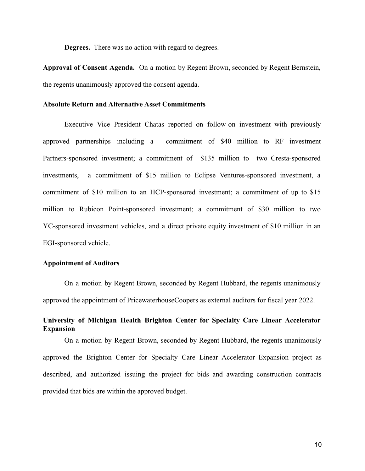**Degrees.** There was no action with regard to degrees.

**Approval of Consent Agenda.** On a motion by Regent Brown, seconded by Regent Bernstein, the regents unanimously approved the consent agenda.

#### **Absolute Return and Alternative Asset Commitments**

Executive Vice President Chatas reported on follow-on investment with previously approved partnerships including a commitment of \$40 million to RF investment Partners-sponsored investment; a commitment of \$135 million to two Cresta-sponsored investments, a commitment of \$15 million to Eclipse Ventures-sponsored investment, a commitment of \$10 million to an HCP-sponsored investment; a commitment of up to \$15 million to Rubicon Point-sponsored investment; a commitment of \$30 million to two YC-sponsored investment vehicles, and a direct private equity investment of \$10 million in an EGI-sponsored vehicle.

### **Appointment of Auditors**

On a motion by Regent Brown, seconded by Regent Hubbard, the regents unanimously approved the appointment of PricewaterhouseCoopers as external auditors for fiscal year 2022.

## **University of Michigan Health Brighton Center for Specialty Care Linear Accelerator Expansion**

On a motion by Regent Brown, seconded by Regent Hubbard, the regents unanimously approved the Brighton Center for Specialty Care Linear Accelerator Expansion project as described, and authorized issuing the project for bids and awarding construction contracts provided that bids are within the approved budget.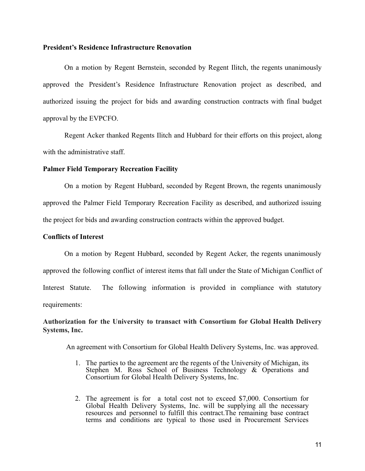### **President's Residence Infrastructure Renovation**

On a motion by Regent Bernstein, seconded by Regent Ilitch, the regents unanimously approved the President's Residence Infrastructure Renovation project as described, and authorized issuing the project for bids and awarding construction contracts with final budget approval by the EVPCFO.

Regent Acker thanked Regents Ilitch and Hubbard for their efforts on this project, along with the administrative staff.

### **Palmer Field Temporary Recreation Facility**

On a motion by Regent Hubbard, seconded by Regent Brown, the regents unanimously approved the Palmer Field Temporary Recreation Facility as described, and authorized issuing the project for bids and awarding construction contracts within the approved budget.

### **Conflicts of Interest**

On a motion by Regent Hubbard, seconded by Regent Acker, the regents unanimously approved the following conflict of interest items that fall under the State of Michigan Conflict of Interest Statute. The following information is provided in compliance with statutory requirements:

**Authorization for the University to transact with Consortium for Global Health Delivery Systems, Inc.**

An agreement with Consortium for Global Health Delivery Systems, Inc. was approved.

- 1. The parties to the agreement are the regents of the University of Michigan, its Stephen M. Ross School of Business Technology  $\&$  Operations and Consortium for Global Health Delivery Systems, Inc.
- 2. The agreement is for a total cost not to exceed \$7,000. Consortium for Global Health Delivery Systems, Inc. will be supplying all the necessary resources and personnel to fulfill this contract.The remaining base contract terms and conditions are typical to those used in Procurement Services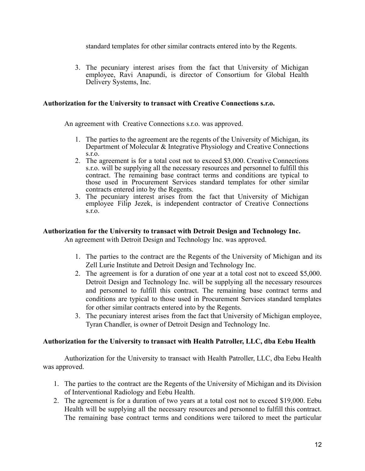standard templates for other similar contracts entered into by the Regents.

3. The pecuniary interest arises from the fact that University of Michigan employee, Ravi Anapundi, is director of Consortium for Global Health Delivery Systems, Inc.

## **Authorization for the University to transact with Creative Connections s.r.o.**

An agreement with Creative Connections s.r.o. was approved.

- 1. The parties to the agreement are the regents of the University of Michigan, its Department of Molecular & Integrative Physiology and Creative Connections s.r.o.
- 2. The agreement is for a total cost not to exceed \$3,000. Creative Connections s.r.o. will be supplying all the necessary resources and personnel to fulfill this contract. The remaining base contract terms and conditions are typical to those used in Procurement Services standard templates for other similar contracts entered into by the Regents.
- 3. The pecuniary interest arises from the fact that University of Michigan employee Filip Jezek, is independent contractor of Creative Connections s.r.o.

## **Authorization for the University to transact with Detroit Design and Technology Inc.**

An agreement with Detroit Design and Technology Inc. was approved.

- 1. The parties to the contract are the Regents of the University of Michigan and its Zell Lurie Institute and Detroit Design and Technology Inc.
- 2. The agreement is for a duration of one year at a total cost not to exceed \$5,000. Detroit Design and Technology Inc. will be supplying all the necessary resources and personnel to fulfill this contract. The remaining base contract terms and conditions are typical to those used in Procurement Services standard templates for other similar contracts entered into by the Regents.
- 3. The pecuniary interest arises from the fact that University of Michigan employee, Tyran Chandler, is owner of Detroit Design and Technology Inc.

# **Authorization for the University to transact with Health Patroller, LLC, dba Eebu Health**

Authorization for the University to transact with Health Patroller, LLC, dba Eebu Health was approved.

- 1. The parties to the contract are the Regents of the University of Michigan and its Division of Interventional Radiology and Eebu Health.
- 2. The agreement is for a duration of two years at a total cost not to exceed \$19,000. Eebu Health will be supplying all the necessary resources and personnel to fulfill this contract. The remaining base contract terms and conditions were tailored to meet the particular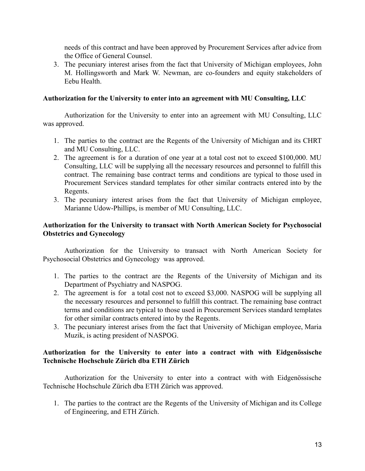needs of this contract and have been approved by Procurement Services after advice from the Office of General Counsel.

3. The pecuniary interest arises from the fact that University of Michigan employees, John M. Hollingsworth and Mark W. Newman, are co-founders and equity stakeholders of Eebu Health.

## **Authorization for the University to enter into an agreement with MU Consulting, LLC**

Authorization for the University to enter into an agreement with MU Consulting, LLC was approved.

- 1. The parties to the contract are the Regents of the University of Michigan and its CHRT and MU Consulting, LLC.
- 2. The agreement is for a duration of one year at a total cost not to exceed \$100,000. MU Consulting, LLC will be supplying all the necessary resources and personnel to fulfill this contract. The remaining base contract terms and conditions are typical to those used in Procurement Services standard templates for other similar contracts entered into by the Regents.
- 3. The pecuniary interest arises from the fact that University of Michigan employee, Marianne Udow-Phillips, is member of MU Consulting, LLC.

# **Authorization for the University to transact with North American Society for Psychosocial Obstetrics and Gynecology**

Authorization for the University to transact with North American Society for Psychosocial Obstetrics and Gynecology was approved.

- 1. The parties to the contract are the Regents of the University of Michigan and its Department of Psychiatry and NASPOG.
- 2. The agreement is for a total cost not to exceed \$3,000. NASPOG will be supplying all the necessary resources and personnel to fulfill this contract. The remaining base contract terms and conditions are typical to those used in Procurement Services standard templates for other similar contracts entered into by the Regents.
- 3. The pecuniary interest arises from the fact that University of Michigan employee, Maria Muzik, is acting president of NASPOG.

# **Authorization for the University to enter into a contract with with Eidgenössische Technische Hochschule Zürich dba ETH Zürich**

Authorization for the University to enter into a contract with with Eidgenössische Technische Hochschule Zürich dba ETH Zürich was approved.

1. The parties to the contract are the Regents of the University of Michigan and its College of Engineering, and ETH Zürich.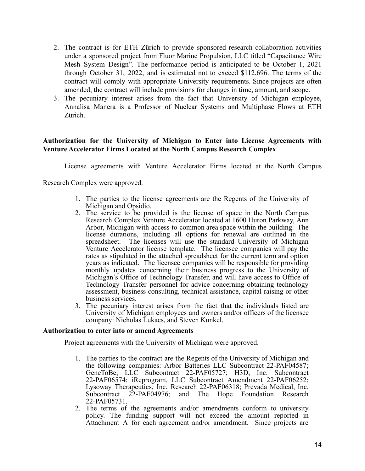- 2. The contract is for ETH Zürich to provide sponsored research collaboration activities under a sponsored project from Fluor Marine Propulsion, LLC titled "Capacitance Wire Mesh System Design". The performance period is anticipated to be October 1, 2021 through October 31, 2022, and is estimated not to exceed \$112,696. The terms of the contract will comply with appropriate University requirements. Since projects are often amended, the contract will include provisions for changes in time, amount, and scope.
- 3. The pecuniary interest arises from the fact that University of Michigan employee, Annalisa Manera is a Professor of Nuclear Systems and Multiphase Flows at ETH Zürich.

# **Authorization for the University of Michigan to Enter into License Agreements with Venture Accelerator Firms Located at the North Campus Research Complex**

License agreements with Venture Accelerator Firms located at the North Campus

Research Complex were approved.

- 1. The parties to the license agreements are the Regents of the University of Michigan and Opsidio.
- 2. The service to be provided is the license of space in the North Campus Research Complex Venture Accelerator located at 1600 Huron Parkway, Ann Arbor, Michigan with access to common area space within the building. The license durations, including all options for renewal are outlined in the spreadsheet. The licenses will use the standard University of Michigan Venture Accelerator license template. The licensee companies will pay the rates as stipulated in the attached spreadsheet for the current term and option years as indicated. The licensee companies will be responsible for providing monthly updates concerning their business progress to the University of Michigan's Office of Technology Transfer, and will have access to Office of Technology Transfer personnel for advice concerning obtaining technology assessment, business consulting, technical assistance, capital raising or other business services.
- 3. The pecuniary interest arises from the fact that the individuals listed are University of Michigan employees and owners and/or officers of the licensee company: Nicholas Lukacs, and Steven Kunkel.

### **Authorization to enter into or amend Agreements**

Project agreements with the University of Michigan were approved.

- 1. The parties to the contract are the Regents of the University of Michigan and the following companies: Arbor Batteries LLC Subcontract 22-PAF04587; GeneToBe, LLC Subcontract 22-PAF05727; H3D, Inc. Subcontract 22-PAF06574; iReprogram, LLC Subcontract Amendment 22-PAF06252; Lysoway Therapeutics, Inc. Research 22-PAF06318; Prevada Medical, Inc. Subcontract 22-PAF04976; and The Hope Foundation Research 22-PAF05731.
- 2. The terms of the agreements and/or amendments conform to university policy. The funding support will not exceed the amount reported in Attachment A for each agreement and/or amendment. Since projects are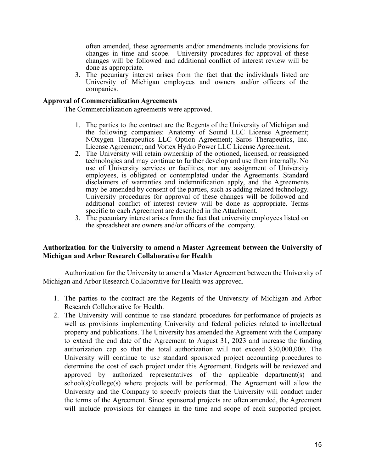often amended, these agreements and/or amendments include provisions for changes in time and scope. University procedures for approval of these changes will be followed and additional conflict of interest review will be done as appropriate.

3. The pecuniary interest arises from the fact that the individuals listed are University of Michigan employees and owners and/or officers of the companies.

### **Approval of Commercialization Agreements**

The Commercialization agreements were approved.

- 1. The parties to the contract are the Regents of the University of Michigan and the following companies: Anatomy of Sound LLC License Agreement; NOxygen Therapeutics LLC Option Agreement; Saros Therapeutics, Inc. License Agreement; and Vortex Hydro Power LLC License Agreement.
- 2. The University will retain ownership of the optioned, licensed, or reassigned technologies and may continue to further develop and use them internally. No use of University services or facilities, nor any assignment of University employees, is obligated or contemplated under the Agreements. Standard disclaimers of warranties and indemnification apply, and the Agreements may be amended by consent of the parties, such as adding related technology. University procedures for approval of these changes will be followed and additional conflict of interest review will be done as appropriate. Terms specific to each Agreement are described in the Attachment.
- 3. The pecuniary interest arises from the fact that university employees listed on the spreadsheet are owners and/or officers of the company.

## **Authorization for the University to amend a Master Agreement between the University of Michigan and Arbor Research Collaborative for Health**

Authorization for the University to amend a Master Agreement between the University of Michigan and Arbor Research Collaborative for Health was approved.

- 1. The parties to the contract are the Regents of the University of Michigan and Arbor Research Collaborative for Health.
- 2. The University will continue to use standard procedures for performance of projects as well as provisions implementing University and federal policies related to intellectual property and publications. The University has amended the Agreement with the Company to extend the end date of the Agreement to August 31, 2023 and increase the funding authorization cap so that the total authorization will not exceed \$30,000,000. The University will continue to use standard sponsored project accounting procedures to determine the cost of each project under this Agreement. Budgets will be reviewed and approved by authorized representatives of the applicable department(s) and school(s)/college(s) where projects will be performed. The Agreement will allow the University and the Company to specify projects that the University will conduct under the terms of the Agreement. Since sponsored projects are often amended, the Agreement will include provisions for changes in the time and scope of each supported project.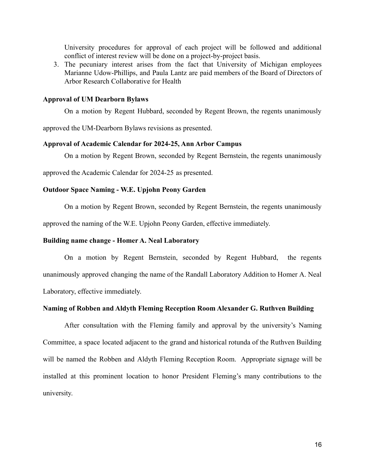University procedures for approval of each project will be followed and additional conflict of interest review will be done on a project-by-project basis.

3. The pecuniary interest arises from the fact that University of Michigan employees Marianne Udow-Phillips, and Paula Lantz are paid members of the Board of Directors of Arbor Research Collaborative for Health

### **Approval of UM Dearborn Bylaws**

On a motion by Regent Hubbard, seconded by Regent Brown, the regents unanimously

approved the UM-Dearborn Bylaws revisions as presented.

#### **Approval of Academic Calendar for 2024-25, Ann Arbor Campus**

On a motion by Regent Brown, seconded by Regent Bernstein, the regents unanimously

approved the Academic Calendar for 2024-25 as presented.

### **Outdoor Space Naming - W.E. Upjohn Peony Garden**

On a motion by Regent Brown, seconded by Regent Bernstein, the regents unanimously

approved the naming of the W.E. Upjohn Peony Garden, effective immediately.

### **Building name change - Homer A. Neal Laboratory**

On a motion by Regent Bernstein, seconded by Regent Hubbard, the regents unanimously approved changing the name of the Randall Laboratory Addition to Homer A. Neal Laboratory, effective immediately.

### **Naming of Robben and Aldyth Fleming Reception Room Alexander G. Ruthven Building**

After consultation with the Fleming family and approval by the university's Naming Committee, a space located adjacent to the grand and historical rotunda of the Ruthven Building will be named the Robben and Aldyth Fleming Reception Room. Appropriate signage will be installed at this prominent location to honor President Fleming's many contributions to the university.